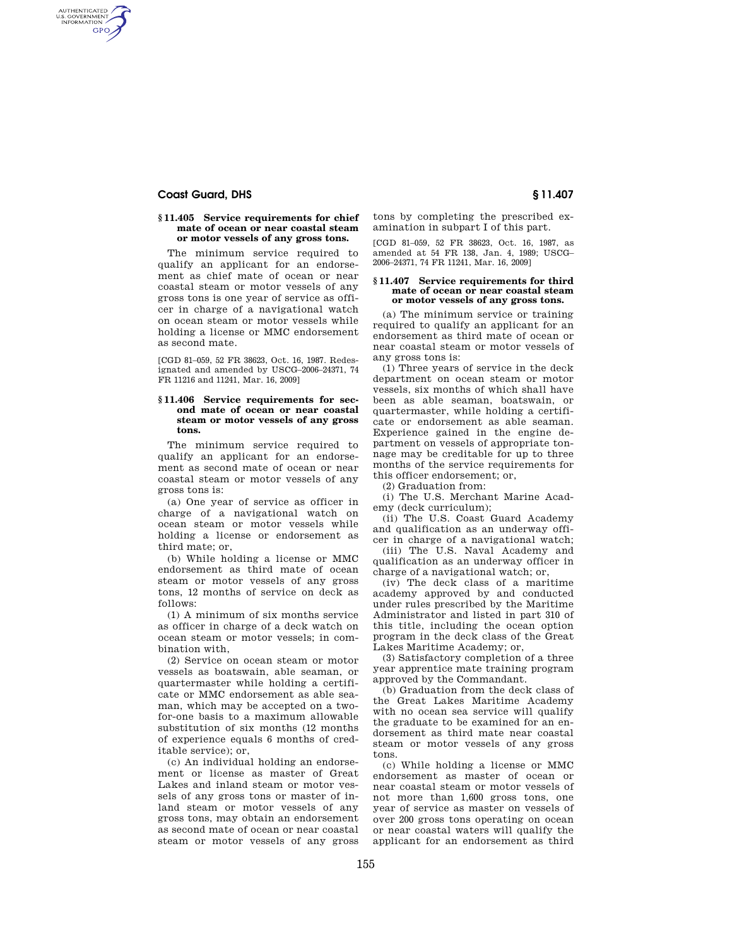## **Coast Guard, DHS § 11.407**

AUTHENTICATED<br>U.S. GOVERNMENT<br>INFORMATION GPO

#### **§ 11.405 Service requirements for chief mate of ocean or near coastal steam or motor vessels of any gross tons.**

The minimum service required to qualify an applicant for an endorsement as chief mate of ocean or near coastal steam or motor vessels of any gross tons is one year of service as officer in charge of a navigational watch on ocean steam or motor vessels while holding a license or MMC endorsement as second mate.

[CGD 81–059, 52 FR 38623, Oct. 16, 1987. Redesignated and amended by USCG–2006–24371, 74 FR 11216 and 11241, Mar. 16, 2009]

#### **§ 11.406 Service requirements for second mate of ocean or near coastal steam or motor vessels of any gross tons.**

The minimum service required to qualify an applicant for an endorsement as second mate of ocean or near coastal steam or motor vessels of any gross tons is:

(a) One year of service as officer in charge of a navigational watch on ocean steam or motor vessels while holding a license or endorsement as third mate; or,

(b) While holding a license or MMC endorsement as third mate of ocean steam or motor vessels of any gross tons, 12 months of service on deck as follows:

(1) A minimum of six months service as officer in charge of a deck watch on ocean steam or motor vessels; in combination with,

(2) Service on ocean steam or motor vessels as boatswain, able seaman, or quartermaster while holding a certificate or MMC endorsement as able seaman, which may be accepted on a twofor-one basis to a maximum allowable substitution of six months (12 months of experience equals 6 months of creditable service); or,

(c) An individual holding an endorsement or license as master of Great Lakes and inland steam or motor vessels of any gross tons or master of inland steam or motor vessels of any gross tons, may obtain an endorsement as second mate of ocean or near coastal steam or motor vessels of any gross

tons by completing the prescribed examination in subpart I of this part.

[CGD 81–059, 52 FR 38623, Oct. 16, 1987, as amended at 54 FR 138, Jan. 4, 1989; USCG– 2006–24371, 74 FR 11241, Mar. 16, 2009]

#### **§ 11.407 Service requirements for third mate of ocean or near coastal steam or motor vessels of any gross tons.**

(a) The minimum service or training required to qualify an applicant for an endorsement as third mate of ocean or near coastal steam or motor vessels of any gross tons is:

(1) Three years of service in the deck department on ocean steam or motor vessels, six months of which shall have been as able seaman, boatswain, or quartermaster, while holding a certificate or endorsement as able seaman. Experience gained in the engine department on vessels of appropriate tonnage may be creditable for up to three months of the service requirements for this officer endorsement; or,

(2) Graduation from:

(i) The U.S. Merchant Marine Academy (deck curriculum);

(ii) The U.S. Coast Guard Academy and qualification as an underway officer in charge of a navigational watch;

(iii) The U.S. Naval Academy and qualification as an underway officer in charge of a navigational watch; or,

(iv) The deck class of a maritime academy approved by and conducted under rules prescribed by the Maritime Administrator and listed in part 310 of this title, including the ocean option program in the deck class of the Great Lakes Maritime Academy; or,

(3) Satisfactory completion of a three year apprentice mate training program approved by the Commandant.

(b) Graduation from the deck class of the Great Lakes Maritime Academy with no ocean sea service will qualify the graduate to be examined for an endorsement as third mate near coastal steam or motor vessels of any gross tons.

(c) While holding a license or MMC endorsement as master of ocean or near coastal steam or motor vessels of not more than 1,600 gross tons, one year of service as master on vessels of over 200 gross tons operating on ocean or near coastal waters will qualify the applicant for an endorsement as third